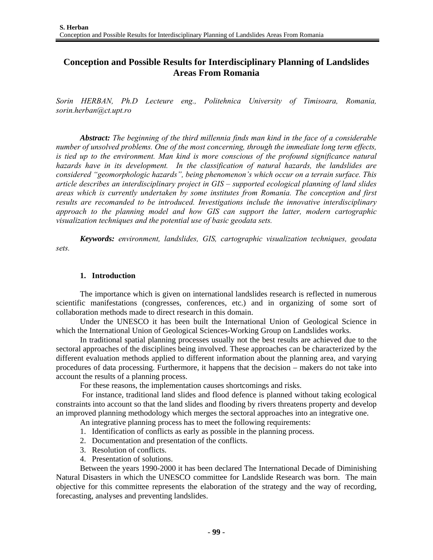# **Conception and Possible Results for Interdisciplinary Planning of Landslides Areas From Romania**

*Sorin HERBAN, Ph.D Lecteure eng., Politehnica University of Timisoara, Romania, sorin.herban@ct.upt.ro* 

*Abstract: The beginning of the third millennia finds man kind in the face of a considerable number of unsolved problems. One of the most concerning, through the immediate long term effects, is tied up to the environment. Man kind is more conscious of the profound significance natural hazards have in its development. In the classification of natural hazards, the landslides are considered "geomorphologic hazards", being phenomenon's which occur on a terrain surface. This article describes an interdisciplinary project in GIS – supported ecological planning of land slides areas which is currently undertaken by some institutes from Romania. The conception and first results are recomanded to be introduced. Investigations include the innovative interdisciplinary approach to the planning model and how GIS can support the latter, modern cartographic visualization techniques and the potential use of basic geodata sets.* 

*Keywords: environment, landslides, GIS, cartographic visualization techniques, geodata sets.* 

## **1. Introduction**

The importance which is given on international landslides research is reflected in numerous scientific manifestations (congresses, conferences, etc.) and in organizing of some sort of collaboration methods made to direct research in this domain.

Under the UNESCO it has been built the International Union of Geological Science in which the International Union of Geological Sciences-Working Group on Landslides works.

In traditional spatial planning processes usually not the best results are achieved due to the sectoral approaches of the disciplines being involved. These approaches can be characterized by the different evaluation methods applied to different information about the planning area, and varying procedures of data processing. Furthermore, it happens that the decision – makers do not take into account the results of a planning process.

For these reasons, the implementation causes shortcomings and risks.

 For instance, traditional land slides and flood defence is planned without taking ecological constraints into account so that the land slides and flooding by rivers threatens property and develop an improved planning methodology which merges the sectoral approaches into an integrative one.

An integrative planning process has to meet the following requirements:

- 1. Identification of conflicts as early as possible in the planning process.
- 2. Documentation and presentation of the conflicts.
- 3. Resolution of conflicts.
- 4. Presentation of solutions.

Between the years 1990-2000 it has been declared The International Decade of Diminishing Natural Disasters in which the UNESCO committee for Landslide Research was born. The main objective for this committee represents the elaboration of the strategy and the way of recording, forecasting, analyses and preventing landslides.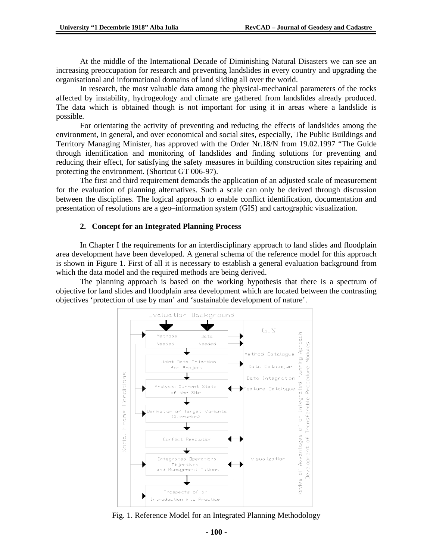At the middle of the International Decade of Diminishing Natural Disasters we can see an increasing preoccupation for research and preventing landslides in every country and upgrading the organisational and informational domains of land sliding all over the world.

In research, the most valuable data among the physical-mechanical parameters of the rocks affected by instability, hydrogeology and climate are gathered from landslides already produced. The data which is obtained though is not important for using it in areas where a landslide is possible.

For orientating the activity of preventing and reducing the effects of landslides among the environment, in general, and over economical and social sites, especially, The Public Buildings and Territory Managing Minister, has approved with the Order Nr.18/N from 19.02.1997 "The Guide through identification and monitoring of landslides and finding solutions for preventing and reducing their effect, for satisfying the safety measures in building construction sites repairing and protecting the environment. (Shortcut GT 006-97).

The first and third requirement demands the application of an adjusted scale of measurement for the evaluation of planning alternatives. Such a scale can only be derived through discussion between the disciplines. The logical approach to enable conflict identification, documentation and presentation of resolutions are a geo–information system (GIS) and cartographic visualization.

#### **2. Concept for an Integrated Planning Process**

In Chapter I the requirements for an interdisciplinary approach to land slides and floodplain area development have been developed. A general schema of the reference model for this approach is shown in Figure 1. First of all it is necessary to establish a general evaluation background from which the data model and the required methods are being derived.

The planning approach is based on the working hypothesis that there is a spectrum of objective for land slides and floodplain area development which are located between the contrasting objectives 'protection of use by man' and 'sustainable development of nature'.



Fig. 1. Reference Model for an Integrated Planning Methodology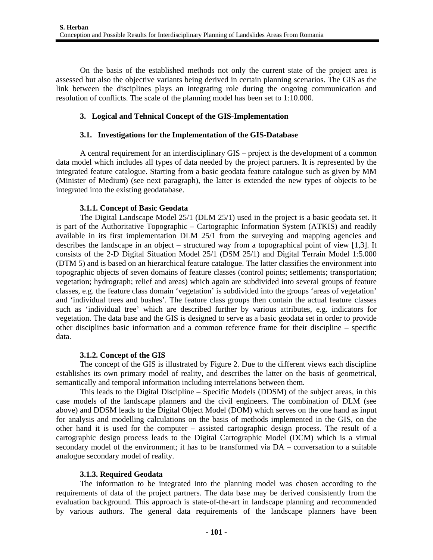On the basis of the established methods not only the current state of the project area is assessed but also the objective variants being derived in certain planning scenarios. The GIS as the link between the disciplines plays an integrating role during the ongoing communication and resolution of conflicts. The scale of the planning model has been set to 1:10.000.

## **3. Logical and Tehnical Concept of the GIS-Implementation**

## **3.1. Investigations for the Implementation of the GIS-Database**

A central requirement for an interdisciplinary GIS – project is the development of a common data model which includes all types of data needed by the project partners. It is represented by the integrated feature catalogue. Starting from a basic geodata feature catalogue such as given by MM (Minister of Medium) (see next paragraph), the latter is extended the new types of objects to be integrated into the existing geodatabase.

## **3.1.1. Concept of Basic Geodata**

The Digital Landscape Model 25/1 (DLM 25/1) used in the project is a basic geodata set. It is part of the Authoritative Topographic – Cartographic Information System (ATKIS) and readily available in its first implementation DLM 25/1 from the surveying and mapping agencies and describes the landscape in an object – structured way from a topographical point of view [1,3]. It consists of the 2-D Digital Situation Model 25/1 (DSM 25/1) and Digital Terrain Model 1:5.000 (DTM 5) and is based on an hierarchical feature catalogue. The latter classifies the environment into topographic objects of seven domains of feature classes (control points; settlements; transportation; vegetation; hydrograph; relief and areas) which again are subdivided into several groups of feature classes, e.g. the feature class domain 'vegetation' is subdivided into the groups 'areas of vegetation' and 'individual trees and bushes'. The feature class groups then contain the actual feature classes such as 'individual tree' which are described further by various attributes, e.g. indicators for vegetation. The data base and the GIS is designed to serve as a basic geodata set in order to provide other disciplines basic information and a common reference frame for their discipline – specific data.

## **3.1.2. Concept of the GIS**

The concept of the GIS is illustrated by Figure 2. Due to the different views each discipline establishes its own primary model of reality, and describes the latter on the basis of geometrical, semantically and temporal information including interrelations between them.

This leads to the Digital Discipline – Specific Models (DDSM) of the subject areas, in this case models of the landscape planners and the civil engineers. The combination of DLM (see above) and DDSM leads to the Digital Object Model (DOM) which serves on the one hand as input for analysis and modelling calculations on the basis of methods implemented in the GIS, on the other hand it is used for the computer – assisted cartographic design process. The result of a cartographic design process leads to the Digital Cartographic Model (DCM) which is a virtual secondary model of the environment; it has to be transformed via DA – conversation to a suitable analogue secondary model of reality.

# **3.1.3. Required Geodata**

The information to be integrated into the planning model was chosen according to the requirements of data of the project partners. The data base may be derived consistently from the evaluation background. This approach is state-of-the-art in landscape planning and recommended by various authors. The general data requirements of the landscape planners have been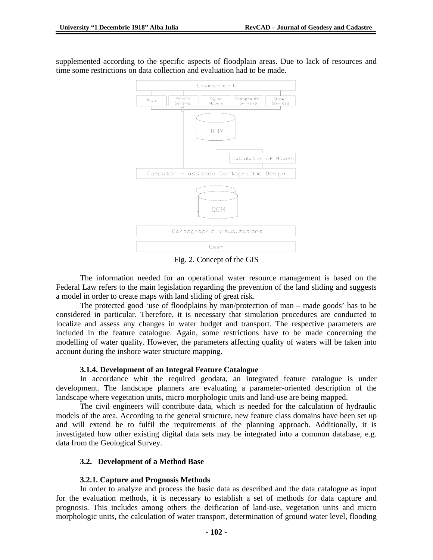

supplemented according to the specific aspects of floodplain areas. Due to lack of resources and time some restrictions on data collection and evaluation had to be made.

Fig. 2. Concept of the GIS

The information needed for an operational water resource management is based on the Federal Law refers to the main legislation regarding the prevention of the land sliding and suggests a model in order to create maps with land sliding of great risk.

The protected good 'use of floodplains by man/protection of man – made goods' has to be considered in particular. Therefore, it is necessary that simulation procedures are conducted to localize and assess any changes in water budget and transport. The respective parameters are included in the feature catalogue. Again, some restrictions have to be made concerning the modelling of water quality. However, the parameters affecting quality of waters will be taken into account during the inshore water structure mapping.

## **3.1.4. Development of an Integral Feature Catalogue**

In accordance whit the required geodata, an integrated feature catalogue is under development. The landscape planners are evaluating a parameter-oriented description of the landscape where vegetation units, micro morphologic units and land-use are being mapped.

The civil engineers will contribute data, which is needed for the calculation of hydraulic models of the area. According to the general structure, new feature class domains have been set up and will extend be to fulfil the requirements of the planning approach. Additionally, it is investigated how other existing digital data sets may be integrated into a common database, e.g. data from the Geological Survey.

## **3.2. Development of a Method Base**

## **3.2.1. Capture and Prognosis Methods**

In order to analyze and process the basic data as described and the data catalogue as input for the evaluation methods, it is necessary to establish a set of methods for data capture and prognosis. This includes among others the deification of land-use, vegetation units and micro morphologic units, the calculation of water transport, determination of ground water level, flooding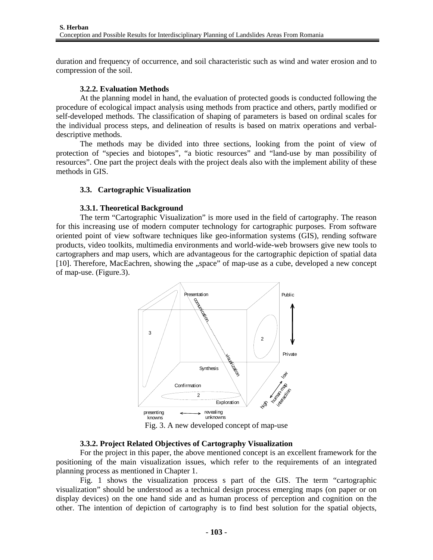duration and frequency of occurrence, and soil characteristic such as wind and water erosion and to compression of the soil.

#### **3.2.2. Evaluation Methods**

At the planning model in hand, the evaluation of protected goods is conducted following the procedure of ecological impact analysis using methods from practice and others, partly modified or self-developed methods. The classification of shaping of parameters is based on ordinal scales for the individual process steps, and delineation of results is based on matrix operations and verbaldescriptive methods.

The methods may be divided into three sections, looking from the point of view of protection of "species and biotopes", "a biotic resources" and "land-use by man possibility of resources". One part the project deals with the project deals also with the implement ability of these methods in GIS.

#### **3.3. Cartographic Visualization**

#### **3.3.1. Theoretical Background**

The term "Cartographic Visualization" is more used in the field of cartography. The reason for this increasing use of modern computer technology for cartographic purposes. From software oriented point of view software techniques like geo-information systems (GIS), rending software products, video toolkits, multimedia environments and world-wide-web browsers give new tools to cartographers and map users, which are advantageous for the cartographic depiction of spatial data [10]. Therefore, MacEachren, showing the "space" of map-use as a cube, developed a new concept of map-use. (Figure.3).



#### **3.3.2. Project Related Objectives of Cartography Visualization**

For the project in this paper, the above mentioned concept is an excellent framework for the positioning of the main visualization issues, which refer to the requirements of an integrated planning process as mentioned in Chapter 1.

Fig. 1 shows the visualization process s part of the GIS. The term "cartographic visualization" should be understood as a technical design process emerging maps (on paper or on display devices) on the one hand side and as human process of perception and cognition on the other. The intention of depiction of cartography is to find best solution for the spatial objects,